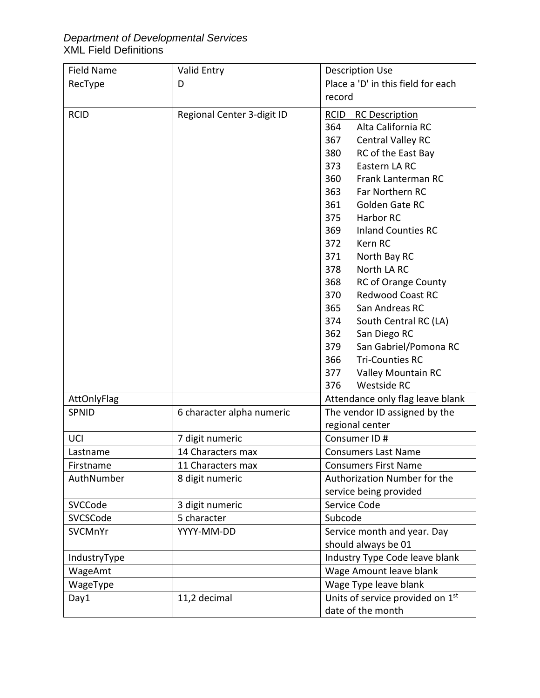## *Department of Developmental Services* XML Field Definitions

| <b>Field Name</b> | <b>Valid Entry</b>         | <b>Description Use</b>               |
|-------------------|----------------------------|--------------------------------------|
| RecType           | D                          | Place a 'D' in this field for each   |
|                   |                            | record                               |
| <b>RCID</b>       | Regional Center 3-digit ID | <b>RCID</b><br><b>RC Description</b> |
|                   |                            | Alta California RC<br>364            |
|                   |                            | 367<br>Central Valley RC             |
|                   |                            | 380<br>RC of the East Bay            |
|                   |                            | 373<br>Eastern LA RC                 |
|                   |                            | 360<br>Frank Lanterman RC            |
|                   |                            | 363<br>Far Northern RC               |
|                   |                            | 361<br>Golden Gate RC                |
|                   |                            | 375<br>Harbor RC                     |
|                   |                            | 369<br><b>Inland Counties RC</b>     |
|                   |                            | 372<br>Kern RC                       |
|                   |                            | 371<br>North Bay RC                  |
|                   |                            | 378<br>North LA RC                   |
|                   |                            | <b>RC of Orange County</b><br>368    |
|                   |                            | 370<br><b>Redwood Coast RC</b>       |
|                   |                            | 365<br>San Andreas RC                |
|                   |                            | 374<br>South Central RC (LA)         |
|                   |                            | San Diego RC<br>362                  |
|                   |                            | 379<br>San Gabriel/Pomona RC         |
|                   |                            | 366<br><b>Tri-Counties RC</b>        |
|                   |                            | Valley Mountain RC<br>377            |
|                   |                            | Westside RC<br>376                   |
| AttOnlyFlag       |                            | Attendance only flag leave blank     |
| <b>SPNID</b>      | 6 character alpha numeric  | The vendor ID assigned by the        |
|                   |                            | regional center                      |
| UCI               | 7 digit numeric            | Consumer ID#                         |
| Lastname          | 14 Characters max          | <b>Consumers Last Name</b>           |
| Firstname         | 11 Characters max          | <b>Consumers First Name</b>          |
| AuthNumber        | 8 digit numeric            | Authorization Number for the         |
|                   |                            | service being provided               |
| SVCCode           | 3 digit numeric            | Service Code                         |
| SVCSCode          | 5 character                | Subcode                              |
| SVCMnYr           | YYYY-MM-DD                 | Service month and year. Day          |
|                   |                            | should always be 01                  |
| IndustryType      |                            | Industry Type Code leave blank       |
| WageAmt           |                            | Wage Amount leave blank              |
| WageType          |                            | Wage Type leave blank                |
| Day1              | 11,2 decimal               | Units of service provided on 1st     |
|                   |                            | date of the month                    |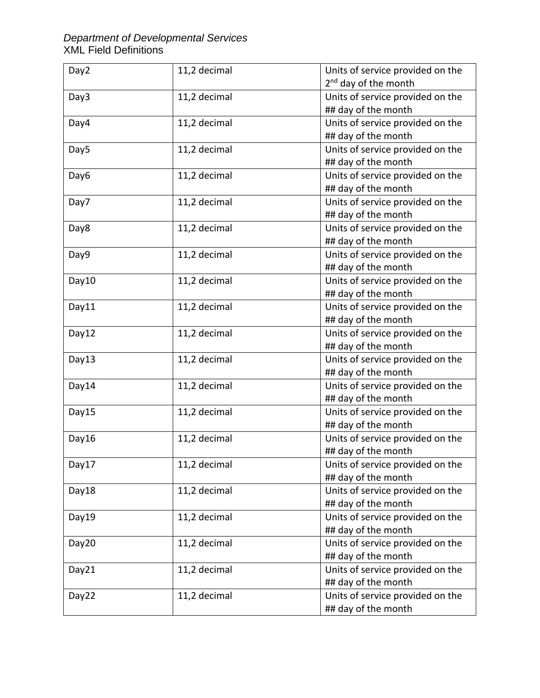## *Department of Developmental Services* XML Field Definitions

| Day2  | 11,2 decimal | Units of service provided on the |
|-------|--------------|----------------------------------|
|       |              | 2 <sup>nd</sup> day of the month |
| Day3  | 11,2 decimal | Units of service provided on the |
|       |              | ## day of the month              |
| Day4  | 11,2 decimal | Units of service provided on the |
|       |              | ## day of the month              |
| Day5  | 11,2 decimal | Units of service provided on the |
|       |              | ## day of the month              |
| Day6  | 11,2 decimal | Units of service provided on the |
|       |              | ## day of the month              |
| Day7  | 11,2 decimal | Units of service provided on the |
|       |              | ## day of the month              |
| Day8  | 11,2 decimal | Units of service provided on the |
|       |              | ## day of the month              |
| Day9  | 11,2 decimal | Units of service provided on the |
|       |              | ## day of the month              |
| Day10 | 11,2 decimal | Units of service provided on the |
|       |              | ## day of the month              |
| Day11 | 11,2 decimal | Units of service provided on the |
|       |              | ## day of the month              |
| Day12 | 11,2 decimal | Units of service provided on the |
|       |              | ## day of the month              |
| Day13 | 11,2 decimal | Units of service provided on the |
|       |              | ## day of the month              |
| Day14 | 11,2 decimal | Units of service provided on the |
|       |              | ## day of the month              |
| Day15 | 11,2 decimal | Units of service provided on the |
|       |              | ## day of the month              |
| Day16 | 11,2 decimal | Units of service provided on the |
|       |              | ## day of the month              |
| Day17 | 11,2 decimal | Units of service provided on the |
|       |              | ## day of the month              |
| Day18 | 11,2 decimal | Units of service provided on the |
|       |              | ## day of the month              |
| Day19 | 11,2 decimal | Units of service provided on the |
|       |              | ## day of the month              |
| Day20 | 11,2 decimal | Units of service provided on the |
|       |              | ## day of the month              |
| Day21 | 11,2 decimal | Units of service provided on the |
|       |              | ## day of the month              |
| Day22 | 11,2 decimal | Units of service provided on the |
|       |              | ## day of the month              |